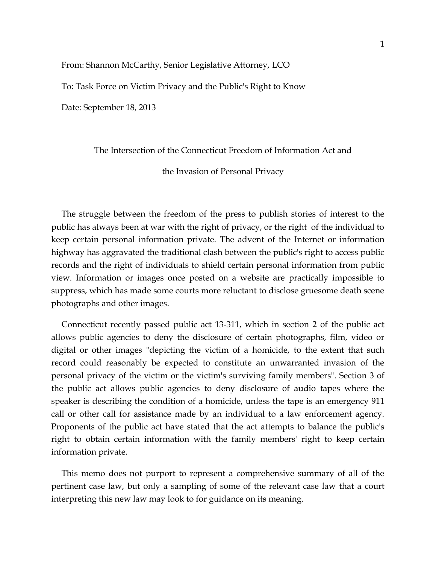From: Shannon McCarthy, Senior Legislative Attorney, LCO

To: Task Force on Victim Privacy and the Public's Right to Know

Date: September 18, 2013

# The Intersection of the Connecticut Freedom of Information Act and

the Invasion of Personal Privacy

The struggle between the freedom of the press to publish stories of interest to the public has always been at war with the right of privacy, or the right of the individual to keep certain personal information private. The advent of the Internet or information highway has aggravated the traditional clash between the public's right to access public records and the right of individuals to shield certain personal information from public view. Information or images once posted on a website are practically impossible to suppress, which has made some courts more reluctant to disclose gruesome death scene photographs and other images.

Connecticut recently passed public act 13-311, which in section 2 of the public act allows public agencies to deny the disclosure of certain photographs, film, video or digital or other images "depicting the victim of a homicide, to the extent that such record could reasonably be expected to constitute an unwarranted invasion of the personal privacy of the victim or the victim's surviving family members". Section 3 of the public act allows public agencies to deny disclosure of audio tapes where the speaker is describing the condition of a homicide, unless the tape is an emergency 911 call or other call for assistance made by an individual to a law enforcement agency. Proponents of the public act have stated that the act attempts to balance the public's right to obtain certain information with the family members' right to keep certain information private.

This memo does not purport to represent a comprehensive summary of all of the pertinent case law, but only a sampling of some of the relevant case law that a court interpreting this new law may look to for guidance on its meaning.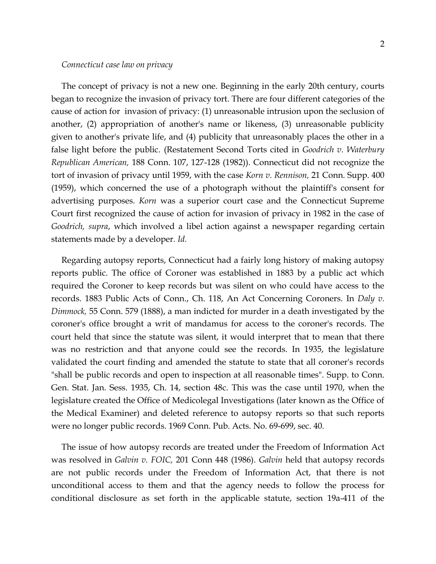The concept of privacy is not a new one. Beginning in the early 20th century, courts began to recognize the invasion of privacy tort. There are four different categories of the cause of action for invasion of privacy: (1) unreasonable intrusion upon the seclusion of another, (2) appropriation of another's name or likeness, (3) unreasonable publicity given to another's private life, and (4) publicity that unreasonably places the other in a false light before the public. (Restatement Second Torts cited in *Goodrich v. Waterbury Republican American,* 188 Conn. 107, 127-128 (1982)). Connecticut did not recognize the tort of invasion of privacy until 1959, with the case *Korn v. Rennison,* 21 Conn. Supp. 400 (1959), which concerned the use of a photograph without the plaintiff's consent for advertising purposes. *Korn* was a superior court case and the Connecticut Supreme Court first recognized the cause of action for invasion of privacy in 1982 in the case of *Goodrich, supra*, which involved a libel action against a newspaper regarding certain statements made by a developer. *Id.*

Regarding autopsy reports, Connecticut had a fairly long history of making autopsy reports public. The office of Coroner was established in 1883 by a public act which required the Coroner to keep records but was silent on who could have access to the records. 1883 Public Acts of Conn., Ch. 118, An Act Concerning Coroners. In *Daly v. Dimmock,* 55 Conn. 579 (1888), a man indicted for murder in a death investigated by the coroner's office brought a writ of mandamus for access to the coroner's records. The court held that since the statute was silent, it would interpret that to mean that there was no restriction and that anyone could see the records. In 1935, the legislature validated the court finding and amended the statute to state that all coroner's records "shall be public records and open to inspection at all reasonable times". Supp. to Conn. Gen. Stat. Jan. Sess. 1935, Ch. 14, section 48c. This was the case until 1970, when the legislature created the Office of Medicolegal Investigations (later known as the Office of the Medical Examiner) and deleted reference to autopsy reports so that such reports were no longer public records. 1969 Conn. Pub. Acts. No. 69-699, sec. 40.

The issue of how autopsy records are treated under the Freedom of Information Act was resolved in *Galvin v. FOIC,* 201 Conn 448 (1986). *Galvin* held that autopsy records are not public records under the Freedom of Information Act, that there is not unconditional access to them and that the agency needs to follow the process for conditional disclosure as set forth in the applicable statute, section 19a-411 of the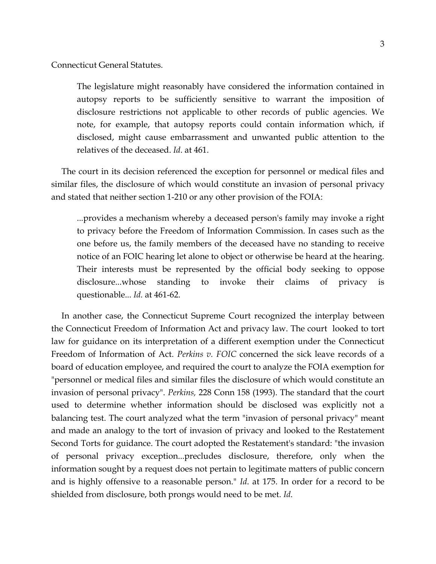Connecticut General Statutes.

The legislature might reasonably have considered the information contained in autopsy reports to be sufficiently sensitive to warrant the imposition of disclosure restrictions not applicable to other records of public agencies. We note, for example, that autopsy reports could contain information which, if disclosed, might cause embarrassment and unwanted public attention to the relatives of the deceased. *Id*. at 461.

The court in its decision referenced the exception for personnel or medical files and similar files, the disclosure of which would constitute an invasion of personal privacy and stated that neither section 1-210 or any other provision of the FOIA:

...provides a mechanism whereby a deceased person's family may invoke a right to privacy before the Freedom of Information Commission. In cases such as the one before us, the family members of the deceased have no standing to receive notice of an FOIC hearing let alone to object or otherwise be heard at the hearing. Their interests must be represented by the official body seeking to oppose disclosure...whose standing to invoke their claims of privacy is questionable... *Id.* at 461-62.

In another case, the Connecticut Supreme Court recognized the interplay between the Connecticut Freedom of Information Act and privacy law. The court looked to tort law for guidance on its interpretation of a different exemption under the Connecticut Freedom of Information of Act. *Perkins v. FOIC* concerned the sick leave records of a board of education employee, and required the court to analyze the FOIA exemption for "personnel or medical files and similar files the disclosure of which would constitute an invasion of personal privacy". *Perkins,* 228 Conn 158 (1993). The standard that the court used to determine whether information should be disclosed was explicitly not a balancing test. The court analyzed what the term "invasion of personal privacy" meant and made an analogy to the tort of invasion of privacy and looked to the Restatement Second Torts for guidance. The court adopted the Restatement's standard: "the invasion of personal privacy exception...precludes disclosure, therefore, only when the information sought by a request does not pertain to legitimate matters of public concern and is highly offensive to a reasonable person." *Id*. at 175. In order for a record to be shielded from disclosure, both prongs would need to be met. *Id*.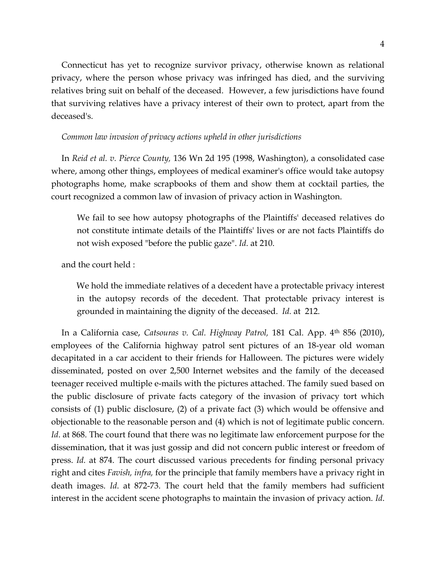Connecticut has yet to recognize survivor privacy, otherwise known as relational privacy, where the person whose privacy was infringed has died, and the surviving relatives bring suit on behalf of the deceased. However, a few jurisdictions have found that surviving relatives have a privacy interest of their own to protect, apart from the deceased's.

# *Common law invasion of privacy actions upheld in other jurisdictions*

In *Reid et al. v. Pierce County,* 136 Wn 2d 195 (1998, Washington), a consolidated case where, among other things, employees of medical examiner's office would take autopsy photographs home, make scrapbooks of them and show them at cocktail parties, the court recognized a common law of invasion of privacy action in Washington.

We fail to see how autopsy photographs of the Plaintiffs' deceased relatives do not constitute intimate details of the Plaintiffs' lives or are not facts Plaintiffs do not wish exposed "before the public gaze". *Id*. at 210.

and the court held :

 We hold the immediate relatives of a decedent have a protectable privacy interest in the autopsy records of the decedent. That protectable privacy interest is grounded in maintaining the dignity of the deceased. *Id.* at 212.

In a California case, *Catsouras v. Cal. Highway Patrol,* 181 Cal. App. 4th 856 (2010), employees of the California highway patrol sent pictures of an 18-year old woman decapitated in a car accident to their friends for Halloween. The pictures were widely disseminated, posted on over 2,500 Internet websites and the family of the deceased teenager received multiple e-mails with the pictures attached. The family sued based on the public disclosure of private facts category of the invasion of privacy tort which consists of (1) public disclosure, (2) of a private fact (3) which would be offensive and objectionable to the reasonable person and (4) which is not of legitimate public concern. *Id.* at 868. The court found that there was no legitimate law enforcement purpose for the dissemination, that it was just gossip and did not concern public interest or freedom of press. *Id.* at 874. The court discussed various precedents for finding personal privacy right and cites *Favish, infra,* for the principle that family members have a privacy right in death images. *Id*. at 872-73. The court held that the family members had sufficient interest in the accident scene photographs to maintain the invasion of privacy action. *Id*.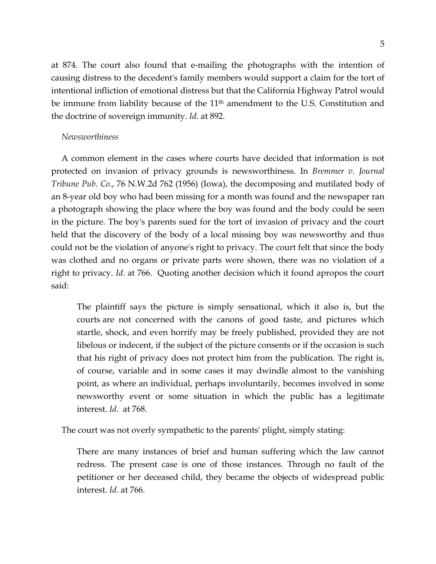at 874. The court also found that e-mailing the photographs with the intention of causing distress to the decedent's family members would support a claim for the tort of intentional infliction of emotional distress but that the California Highway Patrol would be immune from liability because of the 11<sup>th</sup> amendment to the U.S. Constitution and the doctrine of sovereign immunity. *Id*. at 892.

# *Newsworthiness*

A common element in the cases where courts have decided that information is not protected on invasion of privacy grounds is newsworthiness. In *Bremmer v. Journal Tribune Pub. Co*., 76 N.W.2d 762 (1956) (Iowa), the decomposing and mutilated body of an 8-year old boy who had been missing for a month was found and the newspaper ran a photograph showing the place where the boy was found and the body could be seen in the picture. The boy's parents sued for the tort of invasion of privacy and the court held that the discovery of the body of a local missing boy was newsworthy and thus could not be the violation of anyone's right to privacy. The court felt that since the body was clothed and no organs or private parts were shown, there was no violation of a right to privacy. *Id*. at 766. Quoting another decision which it found apropos the court said:

The plaintiff says the picture is simply sensational, which it also is, but the courts are not concerned with the canons of good taste, and pictures which startle, shock, and even horrify may be freely published, provided they are not libelous or indecent, if the subject of the picture consents or if the occasion is such that his right of privacy does not protect him from the publication. The right is, of course, variable and in some cases it may dwindle almost to the vanishing point, as where an individual, perhaps involuntarily, becomes involved in some newsworthy event or some situation in which the public has a legitimate interest. *Id*. at 768.

The court was not overly sympathetic to the parents' plight, simply stating:

There are many instances of brief and human suffering which the law cannot redress. The present case is one of those instances. Through no fault of the petitioner or her deceased child, they became the objects of widespread public interest. *Id*. at 766.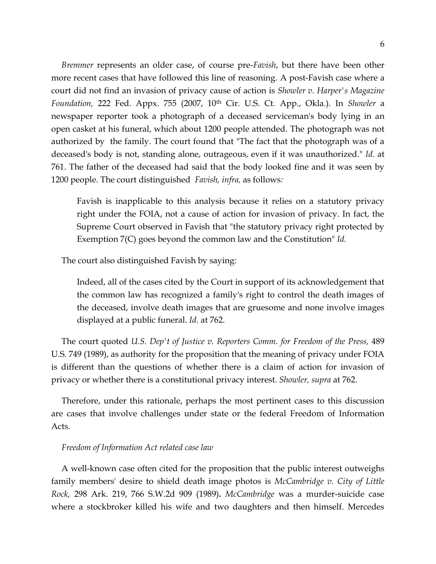*Bremmer* represents an older case, of course pre-*Favish*, but there have been other more recent cases that have followed this line of reasoning. A post-Favish case where a court did not find an invasion of privacy cause of action is *Showler v. Harper's Magazine Foundation,* 222 Fed. Appx. 755 (2007, 10th Cir. U.S. Ct. App., Okla.). In *Showler* a newspaper reporter took a photograph of a deceased serviceman's body lying in an open casket at his funeral, which about 1200 people attended. The photograph was not authorized by the family. The court found that "The fact that the photograph was of a deceased's body is not, standing alone, outrageous, even if it was unauthorized." *Id*. at 761. The father of the deceased had said that the body looked fine and it was seen by 1200 people. The court distinguished *Favish, infra,* as follows*:*

Favish is inapplicable to this analysis because it relies on a statutory privacy right under the FOIA, not a cause of action for invasion of privacy. In fact, the Supreme Court observed in Favish that "the statutory privacy right protected by Exemption 7(C) goes beyond the common law and the Constitution" *Id.*

The court also distinguished Favish by saying:

Indeed, all of the cases cited by the Court in support of its acknowledgement that the common law has recognized a family's right to control the death images of the deceased, involve death images that are gruesome and none involve images displayed at a public funeral. *Id.* at 762.

The court quoted *U.S. Dep't of Justice v. Reporters Comm. for Freedom of the Press,* 489 U.S. 749 (1989), as authority for the proposition that the meaning of privacy under FOIA is different than the questions of whether there is a claim of action for invasion of privacy or whether there is a constitutional privacy interest. *Showler, supra* at 762.

Therefore, under this rationale, perhaps the most pertinent cases to this discussion are cases that involve challenges under state or the federal Freedom of Information Acts.

## *Freedom of Information Act related case law*

A well-known case often cited for the proposition that the public interest outweighs family members' desire to shield death image photos is *McCambridge v. City of Little Rock,* 298 Ark. 219, 766 S.W.2d 909 (1989)**.** *McCambridge* was a murder-suicide case where a stockbroker killed his wife and two daughters and then himself. Mercedes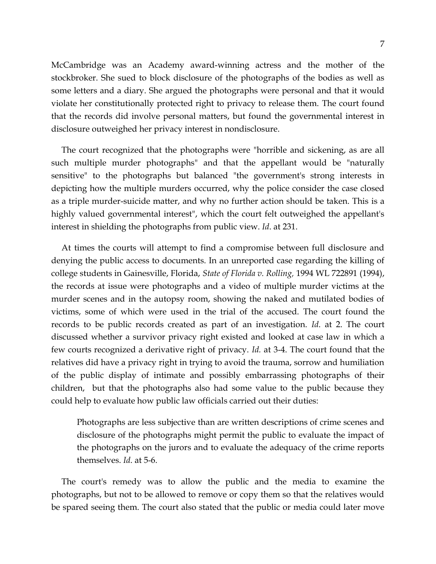McCambridge was an Academy award-winning actress and the mother of the stockbroker. She sued to block disclosure of the photographs of the bodies as well as some letters and a diary. She argued the photographs were personal and that it would violate her constitutionally protected right to privacy to release them. The court found that the records did involve personal matters, but found the governmental interest in disclosure outweighed her privacy interest in nondisclosure.

The court recognized that the photographs were "horrible and sickening, as are all such multiple murder photographs" and that the appellant would be "naturally sensitive" to the photographs but balanced "the government's strong interests in depicting how the multiple murders occurred, why the police consider the case closed as a triple murder-suicide matter, and why no further action should be taken. This is a highly valued governmental interest", which the court felt outweighed the appellant's interest in shielding the photographs from public view. *Id*. at 231.

At times the courts will attempt to find a compromise between full disclosure and denying the public access to documents. In an unreported case regarding the killing of college students in Gainesville, Florida, *State of Florida v. Rolling,* 1994 WL 722891 (1994), the records at issue were photographs and a video of multiple murder victims at the murder scenes and in the autopsy room, showing the naked and mutilated bodies of victims, some of which were used in the trial of the accused. The court found the records to be public records created as part of an investigation. *Id*. at 2. The court discussed whether a survivor privacy right existed and looked at case law in which a few courts recognized a derivative right of privacy. *Id.* at 3-4. The court found that the relatives did have a privacy right in trying to avoid the trauma, sorrow and humiliation of the public display of intimate and possibly embarrassing photographs of their children, but that the photographs also had some value to the public because they could help to evaluate how public law officials carried out their duties:

Photographs are less subjective than are written descriptions of crime scenes and disclosure of the photographs might permit the public to evaluate the impact of the photographs on the jurors and to evaluate the adequacy of the crime reports themselves. *Id*. at 5-6.

The court's remedy was to allow the public and the media to examine the photographs, but not to be allowed to remove or copy them so that the relatives would be spared seeing them. The court also stated that the public or media could later move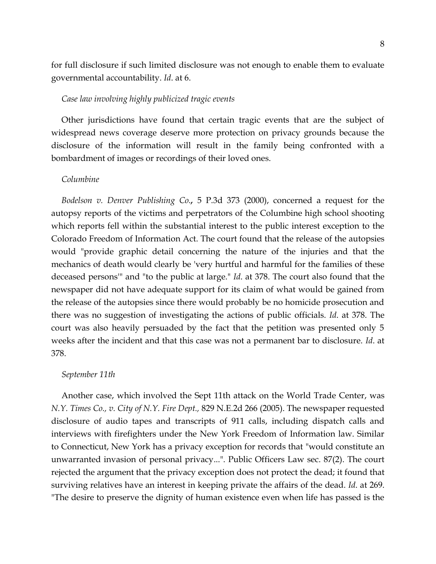for full disclosure if such limited disclosure was not enough to enable them to evaluate governmental accountability. *Id*. at 6.

## *Case law involving highly publicized tragic events*

Other jurisdictions have found that certain tragic events that are the subject of widespread news coverage deserve more protection on privacy grounds because the disclosure of the information will result in the family being confronted with a bombardment of images or recordings of their loved ones.

#### *Columbine*

*Bodelson v. Denver Publishing Co.,* 5 P.3d 373 (2000), concerned a request for the autopsy reports of the victims and perpetrators of the Columbine high school shooting which reports fell within the substantial interest to the public interest exception to the Colorado Freedom of Information Act. The court found that the release of the autopsies would "provide graphic detail concerning the nature of the injuries and that the mechanics of death would clearly be 'very hurtful and harmful for the families of these deceased persons'" and "to the public at large." *Id*. at 378. The court also found that the newspaper did not have adequate support for its claim of what would be gained from the release of the autopsies since there would probably be no homicide prosecution and there was no suggestion of investigating the actions of public officials. *Id*. at 378. The court was also heavily persuaded by the fact that the petition was presented only 5 weeks after the incident and that this case was not a permanent bar to disclosure. *Id*. at 378.

## *September 11th*

Another case, which involved the Sept 11th attack on the World Trade Center, was *N.Y. Times Co., v. City of N.Y. Fire Dept.,* 829 N.E.2d 266 (2005). The newspaper requested disclosure of audio tapes and transcripts of 911 calls, including dispatch calls and interviews with firefighters under the New York Freedom of Information law. Similar to Connecticut, New York has a privacy exception for records that "would constitute an unwarranted invasion of personal privacy...". Public Officers Law sec. 87(2). The court rejected the argument that the privacy exception does not protect the dead; it found that surviving relatives have an interest in keeping private the affairs of the dead. *Id*. at 269. "The desire to preserve the dignity of human existence even when life has passed is the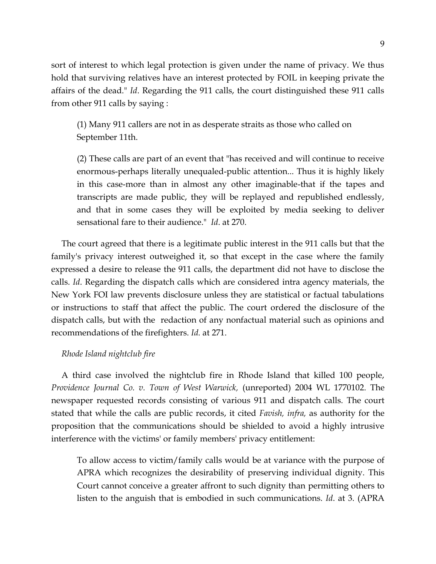sort of interest to which legal protection is given under the name of privacy. We thus hold that surviving relatives have an interest protected by FOIL in keeping private the affairs of the dead." *Id*. Regarding the 911 calls, the court distinguished these 911 calls from other 911 calls by saying :

(1) Many 911 callers are not in as desperate straits as those who called on September 11th.

(2) These calls are part of an event that "has received and will continue to receive enormous-perhaps literally unequaled-public attention... Thus it is highly likely in this case-more than in almost any other imaginable-that if the tapes and transcripts are made public, they will be replayed and republished endlessly, and that in some cases they will be exploited by media seeking to deliver sensational fare to their audience." *Id*. at 270.

The court agreed that there is a legitimate public interest in the 911 calls but that the family's privacy interest outweighed it, so that except in the case where the family expressed a desire to release the 911 calls, the department did not have to disclose the calls. *Id*. Regarding the dispatch calls which are considered intra agency materials, the New York FOI law prevents disclosure unless they are statistical or factual tabulations or instructions to staff that affect the public. The court ordered the disclosure of the dispatch calls, but with the redaction of any nonfactual material such as opinions and recommendations of the firefighters. *Id.* at 271.

# *Rhode Island nightclub fire*

A third case involved the nightclub fire in Rhode Island that killed 100 people, *Providence Journal Co. v. Town of West Warwick,* (unreported) 2004 WL 1770102. The newspaper requested records consisting of various 911 and dispatch calls. The court stated that while the calls are public records, it cited *Favish, infra,* as authority for the proposition that the communications should be shielded to avoid a highly intrusive interference with the victims' or family members' privacy entitlement:

To allow access to victim/family calls would be at variance with the purpose of APRA which recognizes the desirability of preserving individual dignity. This Court cannot conceive a greater affront to such dignity than permitting others to listen to the anguish that is embodied in such communications. *Id*. at 3. (APRA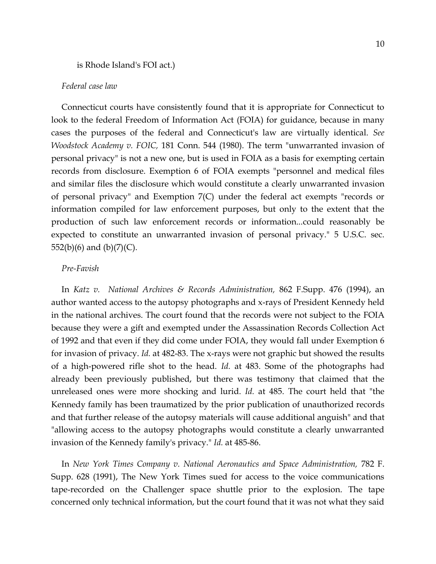### is Rhode Island's FOI act.)

## *Federal case law*

Connecticut courts have consistently found that it is appropriate for Connecticut to look to the federal Freedom of Information Act (FOIA) for guidance, because in many cases the purposes of the federal and Connecticut's law are virtually identical. *See Woodstock Academy v. FOIC,* 181 Conn. 544 (1980). The term "unwarranted invasion of personal privacy" is not a new one, but is used in FOIA as a basis for exempting certain records from disclosure. Exemption 6 of FOIA exempts "personnel and medical files and similar files the disclosure which would constitute a clearly unwarranted invasion of personal privacy" and Exemption 7(C) under the federal act exempts "records or information compiled for law enforcement purposes, but only to the extent that the production of such law enforcement records or information...could reasonably be expected to constitute an unwarranted invasion of personal privacy." 5 U.S.C. sec. 552(b)(6) and (b)(7)(C).

## *Pre-Favish*

In *Katz v. National Archives & Records Administration,* 862 F.Supp. 476 (1994), an author wanted access to the autopsy photographs and x-rays of President Kennedy held in the national archives. The court found that the records were not subject to the FOIA because they were a gift and exempted under the Assassination Records Collection Act of 1992 and that even if they did come under FOIA, they would fall under Exemption 6 for invasion of privacy. *Id.* at 482-83. The x-rays were not graphic but showed the results of a high-powered rifle shot to the head. *Id.* at 483. Some of the photographs had already been previously published, but there was testimony that claimed that the unreleased ones were more shocking and lurid. *Id.* at 485. The court held that "the Kennedy family has been traumatized by the prior publication of unauthorized records and that further release of the autopsy materials will cause additional anguish" and that "allowing access to the autopsy photographs would constitute a clearly unwarranted invasion of the Kennedy family's privacy." *Id.* at 485-86.

In *New York Times Company v. National Aeronautics and Space Administration,* 782 F. Supp. 628 (1991), The New York Times sued for access to the voice communications tape-recorded on the Challenger space shuttle prior to the explosion. The tape concerned only technical information, but the court found that it was not what they said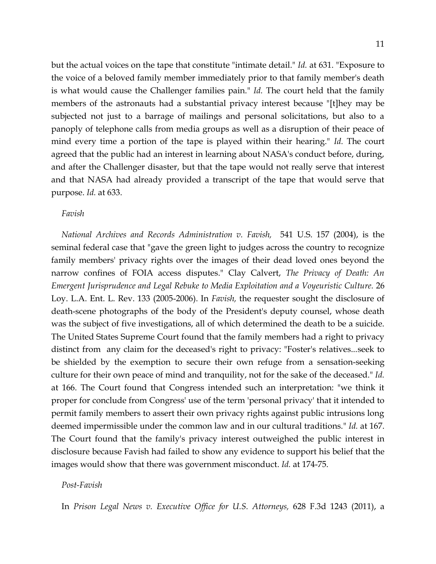but the actual voices on the tape that constitute "intimate detail." *Id.* at 631. "Exposure to the voice of a beloved family member immediately prior to that family member's death is what would cause the Challenger families pain." *Id.* The court held that the family members of the astronauts had a substantial privacy interest because "[t]hey may be subjected not just to a barrage of mailings and personal solicitations, but also to a panoply of telephone calls from media groups as well as a disruption of their peace of mind every time a portion of the tape is played within their hearing." *Id.* The court agreed that the public had an interest in learning about NASA's conduct before, during, and after the Challenger disaster, but that the tape would not really serve that interest and that NASA had already provided a transcript of the tape that would serve that purpose. *Id.* at 633.

## *Favish*

*National Archives and Records Administration v. Favish,* 541 U.S. 157 (2004), is the seminal federal case that "gave the green light to judges across the country to recognize family members' privacy rights over the images of their dead loved ones beyond the narrow confines of FOIA access disputes." Clay Calvert, *The Privacy of Death: An Emergent Jurisprudence and Legal Rebuke to Media Exploitation and a Voyeuristic Culture.* 26 Loy. L.A. Ent. L. Rev. 133 (2005-2006). In *Favish,* the requester sought the disclosure of death-scene photographs of the body of the President's deputy counsel, whose death was the subject of five investigations, all of which determined the death to be a suicide. The United States Supreme Court found that the family members had a right to privacy distinct from any claim for the deceased's right to privacy: "Foster's relatives...seek to be shielded by the exemption to secure their own refuge from a sensation-seeking culture for their own peace of mind and tranquility, not for the sake of the deceased." *Id.* at 166. The Court found that Congress intended such an interpretation: "we think it proper for conclude from Congress' use of the term 'personal privacy' that it intended to permit family members to assert their own privacy rights against public intrusions long deemed impermissible under the common law and in our cultural traditions." *Id.* at 167. The Court found that the family's privacy interest outweighed the public interest in disclosure because Favish had failed to show any evidence to support his belief that the images would show that there was government misconduct. *Id.* at 174-75.

## *Post-Favish*

In *Prison Legal News v. Executive Office for U.S. Attorneys,* 628 F.3d 1243 (2011), a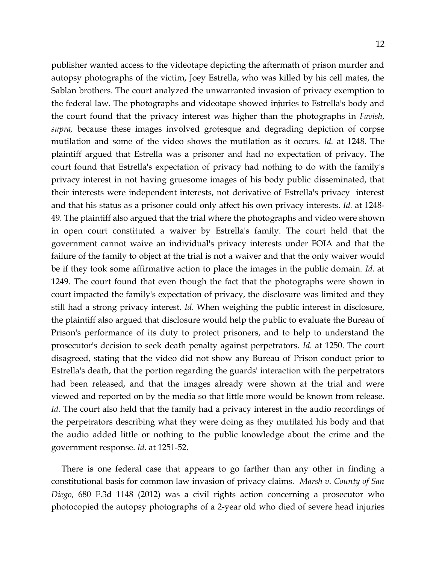publisher wanted access to the videotape depicting the aftermath of prison murder and autopsy photographs of the victim, Joey Estrella, who was killed by his cell mates, the Sablan brothers. The court analyzed the unwarranted invasion of privacy exemption to the federal law. The photographs and videotape showed injuries to Estrella's body and the court found that the privacy interest was higher than the photographs in *Favish*, *supra,* because these images involved grotesque and degrading depiction of corpse mutilation and some of the video shows the mutilation as it occurs. *Id.* at 1248. The plaintiff argued that Estrella was a prisoner and had no expectation of privacy. The court found that Estrella's expectation of privacy had nothing to do with the family's privacy interest in not having gruesome images of his body public disseminated, that their interests were independent interests, not derivative of Estrella's privacy interest and that his status as a prisoner could only affect his own privacy interests. *Id.* at 1248- 49. The plaintiff also argued that the trial where the photographs and video were shown in open court constituted a waiver by Estrella's family. The court held that the government cannot waive an individual's privacy interests under FOIA and that the failure of the family to object at the trial is not a waiver and that the only waiver would be if they took some affirmative action to place the images in the public domain. *Id.* at 1249. The court found that even though the fact that the photographs were shown in court impacted the family's expectation of privacy, the disclosure was limited and they still had a strong privacy interest. *Id*. When weighing the public interest in disclosure, the plaintiff also argued that disclosure would help the public to evaluate the Bureau of Prison's performance of its duty to protect prisoners, and to help to understand the prosecutor's decision to seek death penalty against perpetrators. *Id.* at 1250. The court disagreed, stating that the video did not show any Bureau of Prison conduct prior to Estrella's death, that the portion regarding the guards' interaction with the perpetrators had been released, and that the images already were shown at the trial and were viewed and reported on by the media so that little more would be known from release. *Id.* The court also held that the family had a privacy interest in the audio recordings of the perpetrators describing what they were doing as they mutilated his body and that the audio added little or nothing to the public knowledge about the crime and the government response. *Id.* at 1251-52.

There is one federal case that appears to go farther than any other in finding a constitutional basis for common law invasion of privacy claims. *Marsh v. County of San Diego*, 680 F.3d 1148 (2012) was a civil rights action concerning a prosecutor who photocopied the autopsy photographs of a 2-year old who died of severe head injuries